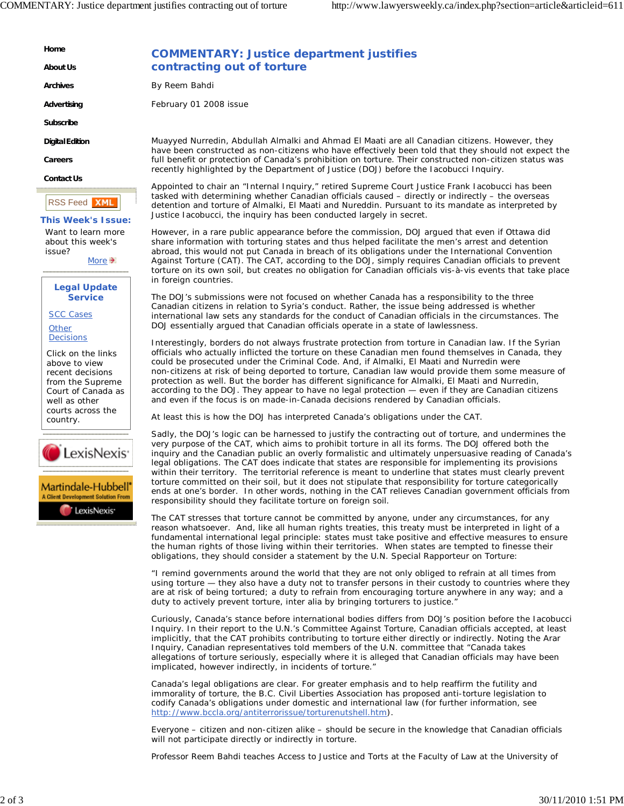**Home**

**About Us**

**Archives**

**Advertising**

**Subscribe**

**Digital Edition**

**Careers**

**Contact Us**

RSS Feed **XMI** 

## **This Week's Issue:**

Want to learn more about this week's issue?

More  $\rightarrow$ 

**Legal Update Service**

SCC Cases **Other** 

**Decisions** 

Click on the links above to view recent decisions from the Supreme Court of Canada as well as other courts across the country.





## **COMMENTARY: Justice department justifies contracting out of torture**

By Reem Bahdi

February 01 2008 issue

Muayyed Nurredin, Abdullah Almalki and Ahmad El Maati are all Canadian citizens. However, they have been constructed as non-citizens who have effectively been told that they should not expect the full benefit or protection of Canada's prohibition on torture. Their constructed non-citizen status was recently highlighted by the Department of Justice (DOJ) before the Iacobucci Inquiry.

Appointed to chair an "Internal Inquiry," retired Supreme Court Justice Frank Iacobucci has been tasked with determining whether Canadian officials caused – directly or indirectly – the overseas detention and torture of Almalki, El Maati and Nureddin. Pursuant to its mandate as interpreted by Justice Iacobucci, the inquiry has been conducted largely in secret.

However, in a rare public appearance before the commission, DOJ argued that even if Ottawa did share information with torturing states and thus helped facilitate the men's arrest and detention abroad, this would not put Canada in breach of its obligations under the *International Convention Against Torture* (CAT). The CAT, according to the DOJ, simply requires Canadian officials to prevent torture on its own soil, but creates no obligation for Canadian officials vis-à-vis events that take place in foreign countries.

The DOJ's submissions were not focused on whether Canada has a responsibility to the three Canadian citizens in relation to Syria's conduct. Rather, the issue being addressed is whether international law sets any standards for the conduct of Canadian officials in the circumstances. The DOJ essentially argued that Canadian officials operate in a state of lawlessness.

Interestingly, borders do not always frustrate protection from torture in Canadian law. If the Syrian officials who actually inflicted the torture on these Canadian men found themselves in Canada, they could be prosecuted under the Criminal Code. And, if Almalki, El Maati and Nurredin were non-citizens at risk of being deported to torture, Canadian law would provide them some measure of protection as well. But the border has different significance for Almalki, El Maati and Nurredin, according to the DOJ. They appear to have no legal protection — even if they are Canadian citizens and even if the focus is on made-in-Canada decisions rendered by Canadian officials.

At least this is how the DOJ has interpreted Canada's obligations under the CAT.

Sadly, the DOJ's logic can be harnessed to justify the contracting out of torture, and undermines the very purpose of the CAT, which aims to prohibit torture in all its forms. The DOJ offered both the inquiry and the Canadian public an overly formalistic and ultimately unpersuasive reading of Canada's legal obligations. The CAT does indicate that states are responsible for implementing its provisions within their territory. The territorial reference is meant to underline that states must clearly prevent torture committed on their soil, but it does not stipulate that responsibility for torture categorically ends at one's border. In other words, nothing in the CAT relieves Canadian government officials from responsibility should they facilitate torture on foreign soil.

The CAT stresses that torture cannot be committed by anyone, under any circumstances, for any reason whatsoever. And, like all human rights treaties, this treaty must be interpreted in light of a fundamental international legal principle: states must take positive and effective measures to ensure the human rights of those living within their territories. When states are tempted to finesse their obligations, they should consider a statement by the U.N. Special Rapporteur on Torture:

"I remind governments around the world that they are not only obliged to refrain at all times from using torture — they also have a duty not to transfer persons in their custody to countries where they are at risk of being tortured; a duty to refrain from encouraging torture anywhere in any way; and a duty to actively prevent torture, inter alia by bringing torturers to justice."

Curiously, Canada's stance before international bodies differs from DOJ's position before the Iacobucci Inquiry. In their report to the U.N.'s Committee Against Torture, Canadian officials accepted, at least implicitly, that the CAT prohibits contributing to torture either directly or indirectly. Noting the Arar Inquiry, Canadian representatives told members of the U.N. committee that "Canada takes allegations of torture seriously, especially where it is alleged that Canadian officials may have been implicated, however indirectly, in incidents of torture."

Canada's legal obligations are clear. For greater emphasis and to help reaffirm the futility and immorality of torture, the B.C. Civil Liberties Association has proposed anti-torture legislation to codify Canada's obligations under domestic and international law (for further information, see http://www.bccla.org/antiterrorissue/torturenutshell.htm).

Everyone – citizen and non-citizen alike – should be secure in the knowledge that Canadian officials will not participate directly or indirectly in torture.

*Professor Reem Bahdi teaches Access to Justice and Torts at the Faculty of Law at the University of*